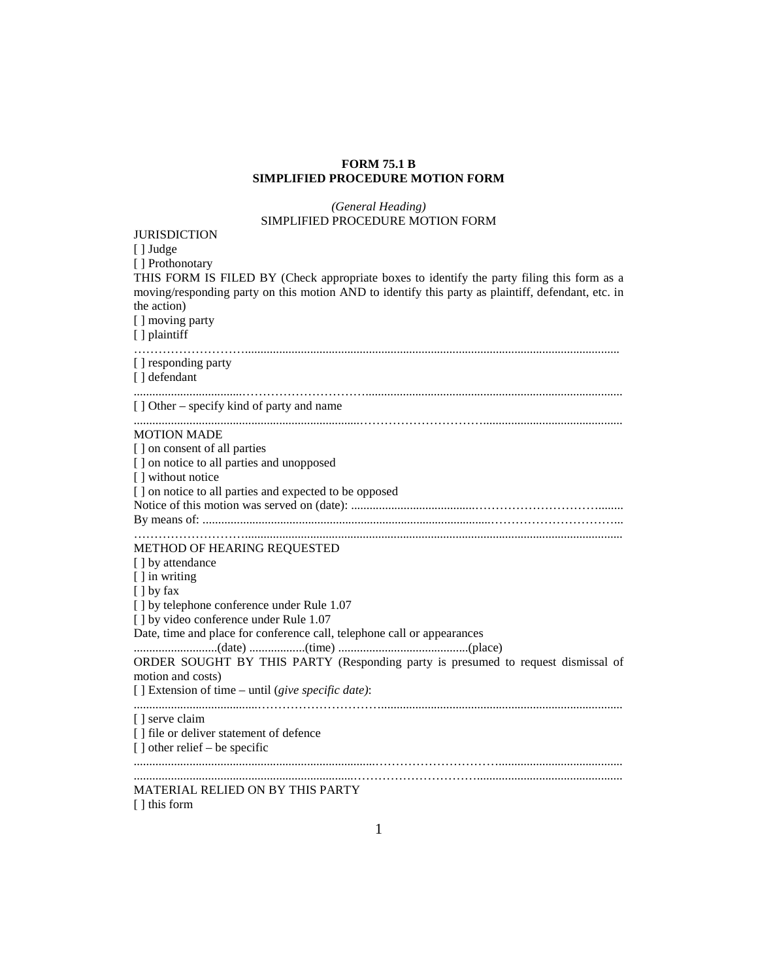# **FORM 75.1 B SIMPLIFIED PROCEDURE MOTION FORM**

## *(General Heading)* SIMPLIFIED PROCEDURE MOTION FORM

#### **JURISDICTION**

[ ] Judge

[ ] Prothonotary

THIS FORM IS FILED BY (Check appropriate boxes to identify the party filing this form as a moving/responding party on this motion AND to identify this party as plaintiff, defendant, etc. in the action)

[ ] moving party

[ ] plaintiff

#### ………………………......................................................................................................................... [ ] responding party

.........................................................................………………………….............................................

[ ] defendant

...................................…………………………...................................................................................

#### [ ] Other – specify kind of party and name

#### MOTION MADE

[] on consent of all parties [ ] on notice to all parties and unopposed [ ] without notice [] on notice to all parties and expected to be opposed Notice of this motion was served on (date): ........................................…………………………........ By means of: .............................................................................................…………………………... ………………………..........................................................................................................................

#### METHOD OF HEARING REQUESTED

[ ] by attendance [ ] in writing [ ] by fax [] by telephone conference under Rule 1.07 [] by video conference under Rule 1.07 Date, time and place for conference call, telephone call or appearances ...........................(date) ..................(time) ..........................................(place) ORDER SOUGHT BY THIS PARTY (Responding party is presumed to request dismissal of motion and costs) [ ] Extension of time – until (*give specific date)*: ........................................………………………….............................................................................. [ ] serve claim [] file or deliver statement of defence  $\lceil$  dther relief – be specific ..............................................................................…………………………........................................

# .......................................................................…………………………...............................................

## MATERIAL RELIED ON BY THIS PARTY [ ] this form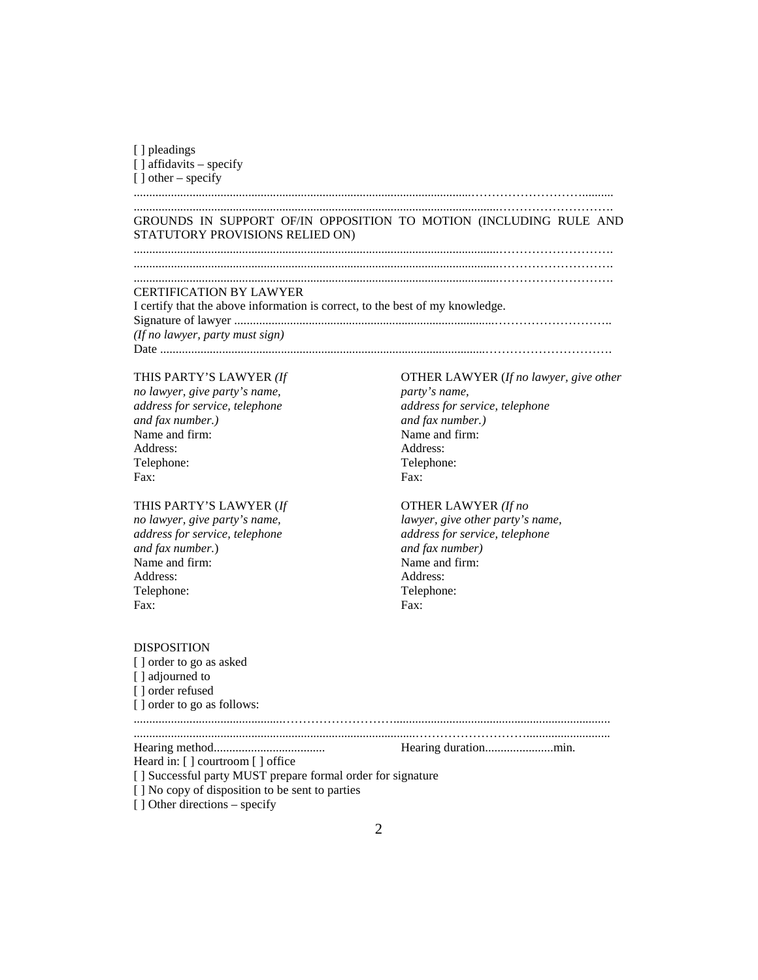| [ ] pleadings              |  |
|----------------------------|--|
| $[ ]$ affidavits – specify |  |
| $\lceil$ other – specify   |  |

#### .............................................................................................................……………………….......... ......................................................................................................................……………………….

# GROUNDS IN SUPPORT OF/IN OPPOSITION TO MOTION (INCLUDING RULE AND STATUTORY PROVISIONS RELIED ON)

......................................................................................................................………………………. ......................................................................................................................……………………….

......................................................................................................................……………………….

# CERTIFICATION BY LAWYER

I certify that the above information is correct, to the best of my knowledge. Signature of lawyer ....................................................................................……………………….. *(If no lawyer, party must sign)* Date .........................................................................................................………………………….

# THIS PARTY'S LAWYER *(If*

*no lawyer, give party's name, address for service, telephone and fax number.)* Name and firm: Address: Telephone: Fax:

## THIS PARTY'S LAWYER (*If*

*no lawyer, give party's name, address for service, telephone and fax number.*) Name and firm: Address: Telephone: Fax:

OTHER LAWYER (*If no lawyer, give other party's name, address for service, telephone and fax number.)* Name and firm: Address: Telephone: Fax:

# OTHER LAWYER *(If no*

*lawyer, give other party's name, address for service, telephone and fax number)* Name and firm: Address: Telephone: Fax:

# DISPOSITION

[ ] order to go as asked [ ] adjourned to [ ] order refused [] order to go as follows:

................................................………………………...................................................................... ...........................................................................................………………………...........................

Hearing method.................................... Hearing duration......................min.

Heard in: [ ] courtroom [ ] office

[ ] Successful party MUST prepare formal order for signature

[ ] No copy of disposition to be sent to parties

[ ] Other directions – specify